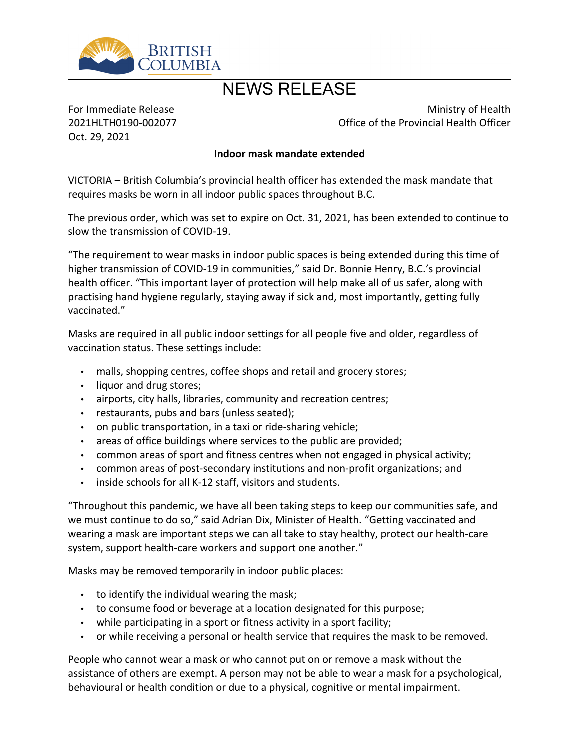

## NEWS RELEASE

For Immediate Release 2021HLTH0190-002077 Oct. 29, 2021

Ministry of Health Office of the Provincial Health Officer

## **Indoor mask mandate extended**

VICTORIA – British Columbia's provincial health officer has extended the mask mandate that requires masks be worn in all indoor public spaces throughout B.C.

The previous order, which was set to expire on Oct. 31, 2021, has been extended to continue to slow the transmission of COVID-19.

͞The requirement to wear masks in indoor public spaces is being extended during this time of higher transmission of COVID-19 in communities," said Dr. Bonnie Henry, B.C.'s provincial health officer. "This important layer of protection will help make all of us safer, along with practising hand hygiene regularly, staying away if sick and, most importantly, getting fully vaccinated.͟

Masks are required in all public indoor settings for all people five and older, regardless of vaccination status. These settings include:

- malls, shopping centres, coffee shops and retail and grocery stores;
- liquor and drug stores;
- airports, city halls, libraries, community and recreation centres;
- restaurants, pubs and bars (unless seated);
- on public transportation, in a taxi or ride-sharing vehicle;
- areas of office buildings where services to the public are provided;
- common areas of sport and fitness centres when not engaged in physical activity;
- common areas of post-secondary institutions and non-profit organizations; and
- $\cdot$  inside schools for all K-12 staff, visitors and students.

͞Throughout this pandemic, we have all been taking steps to keep our communities safe, and we must continue to do so," said Adrian Dix, Minister of Health. "Getting vaccinated and wearing a mask are important steps we can all take to stay healthy, protect our health-care system, support health-care workers and support one another.<sup>"</sup>

Masks may be removed temporarily in indoor public places:

- $\cdot$  to identify the individual wearing the mask;
- to consume food or beverage at a location designated for this purpose;
- while participating in a sport or fitness activity in a sport facility;
- or while receiving a personal or health service that requires the mask to be removed.

People who cannot wear a mask or who cannot put on or remove a mask without the assistance of others are exempt. A person may not be able to wear a mask for a psychological, behavioural or health condition or due to a physical, cognitive or mental impairment.